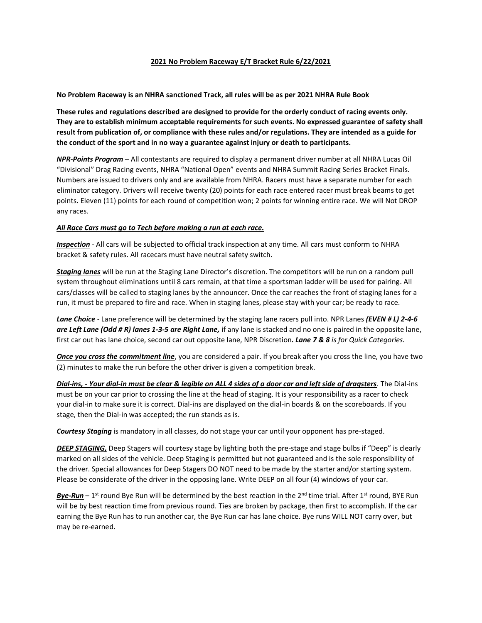## **2021 No Problem Raceway E/T Bracket Rule 6/22/2021**

**No Problem Raceway is an NHRA sanctioned Track, all rules will be as per 2021 NHRA Rule Book** 

**These rules and regulations described are designed to provide for the orderly conduct of racing events only. They are to establish minimum acceptable requirements for such events. No expressed guarantee of safety shall result from publication of, or compliance with these rules and/or regulations. They are intended as a guide for the conduct of the sport and in no way a guarantee against injury or death to participants.** 

*NPR-Points Program* – All contestants are required to display a permanent driver number at all NHRA Lucas Oil "Divisional" Drag Racing events, NHRA "National Open" events and NHRA Summit Racing Series Bracket Finals. Numbers are issued to drivers only and are available from NHRA. Racers must have a separate number for each eliminator category. Drivers will receive twenty (20) points for each race entered racer must break beams to get points. Eleven (11) points for each round of competition won; 2 points for winning entire race. We will Not DROP any races.

## *All Race Cars must go to Tech before making a run at each race.*

*Inspection* - All cars will be subjected to official track inspection at any time. All cars must conform to NHRA bracket & safety rules. All racecars must have neutral safety switch.

*Staging lanes* will be run at the Staging Lane Director's discretion. The competitors will be run on a random pull system throughout eliminations until 8 cars remain, at that time a sportsman ladder will be used for pairing. All cars/classes will be called to staging lanes by the announcer. Once the car reaches the front of staging lanes for a run, it must be prepared to fire and race. When in staging lanes, please stay with your car; be ready to race.

*Lane Choice* - Lane preference will be determined by the staging lane racers pull into. NPR Lanes *(EVEN # L) 2-4-6 are Left Lane (Odd # R) lanes 1-3-5 are Right Lane,* if any lane is stacked and no one is paired in the opposite lane, first car out has lane choice, second car out opposite lane, NPR Discretion*. Lane 7 & 8 is for Quick Categories.*

*Once you cross the commitment line*, you are considered a pair. If you break after you cross the line, you have two (2) minutes to make the run before the other driver is given a competition break.

*Dial-ins, - Your dial-in must be clear & legible on ALL 4 sides of a door car and left side of dragsters*. The Dial-ins must be on your car prior to crossing the line at the head of staging. It is your responsibility as a racer to check your dial-in to make sure it is correct. Dial-ins are displayed on the dial-in boards & on the scoreboards. If you stage, then the Dial-in was accepted; the run stands as is.

*Courtesy Staging* is mandatory in all classes, do not stage your car until your opponent has pre-staged.

*DEEP STAGING,* Deep Stagers will courtesy stage by lighting both the pre-stage and stage bulbs if "Deep" is clearly marked on all sides of the vehicle. Deep Staging is permitted but not guaranteed and is the sole responsibility of the driver. Special allowances for Deep Stagers DO NOT need to be made by the starter and/or starting system. Please be considerate of the driver in the opposing lane. Write DEEP on all four (4) windows of your car.

*Bye-Run* – 1 st round Bye Run will be determined by the best reaction in the 2nd time trial. After 1st round, BYE Run will be by best reaction time from previous round. Ties are broken by package, then first to accomplish. If the car earning the Bye Run has to run another car, the Bye Run car has lane choice. Bye runs WILL NOT carry over, but may be re-earned.